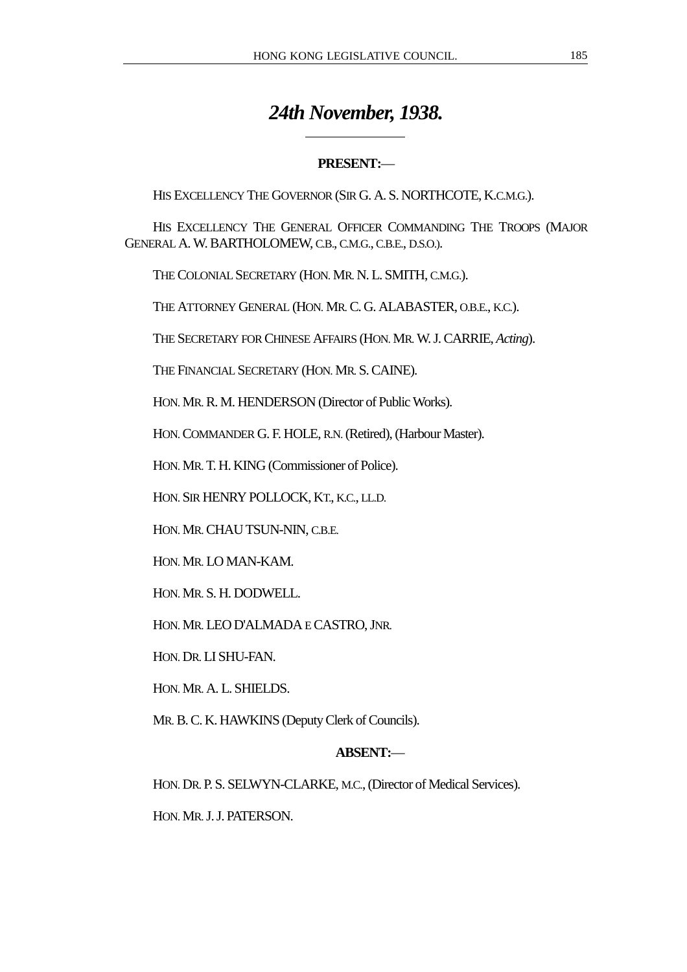# *24th November, 1938.*

# **PRESENT:**—

HIS EXCELLENCY THE GOVERNOR (SIR G. A. S. NORTHCOTE, K.C.M.G.).

HIS EXCELLENCY THE GENERAL OFFICER COMMANDING THE TROOPS (MAJOR GENERAL A. W. BARTHOLOMEW, C.B., C.M.G., C.B.E., D.S.O.).

THE COLONIAL SECRETARY (HON. MR. N. L. SMITH, C.M.G.).

 $\overline{a}$ 

THE ATTORNEY GENERAL (HON. MR. C. G. ALABASTER, O.B.E., K.C.).

THE SECRETARY FOR CHINESE AFFAIRS (HON. MR. W. J. CARRIE, *Acting*).

THE FINANCIAL SECRETARY (HON. MR. S. CAINE).

HON. MR. R. M. HENDERSON (Director of Public Works).

HON. COMMANDER G. F. HOLE, R.N. (Retired), (Harbour Master).

HON. MR. T. H. KING (Commissioner of Police).

HON. SIR HENRY POLLOCK, KT., K.C., LL.D.

HON. MR. CHAU TSUN-NIN, C.B.E.

HON. MR. LO MAN-KAM.

HON. MR. S. H. DODWELL.

HON. MR. LEO D'ALMADA E CASTRO, JNR.

HON. DR. LI SHU-FAN.

HON. MR. A. L. SHIELDS.

MR. B. C. K. HAWKINS (Deputy Clerk of Councils).

## **ABSENT:**—

HON. DR. P. S. SELWYN-CLARKE, M.C., (Director of Medical Services).

HON. MR. J. J. PATERSON.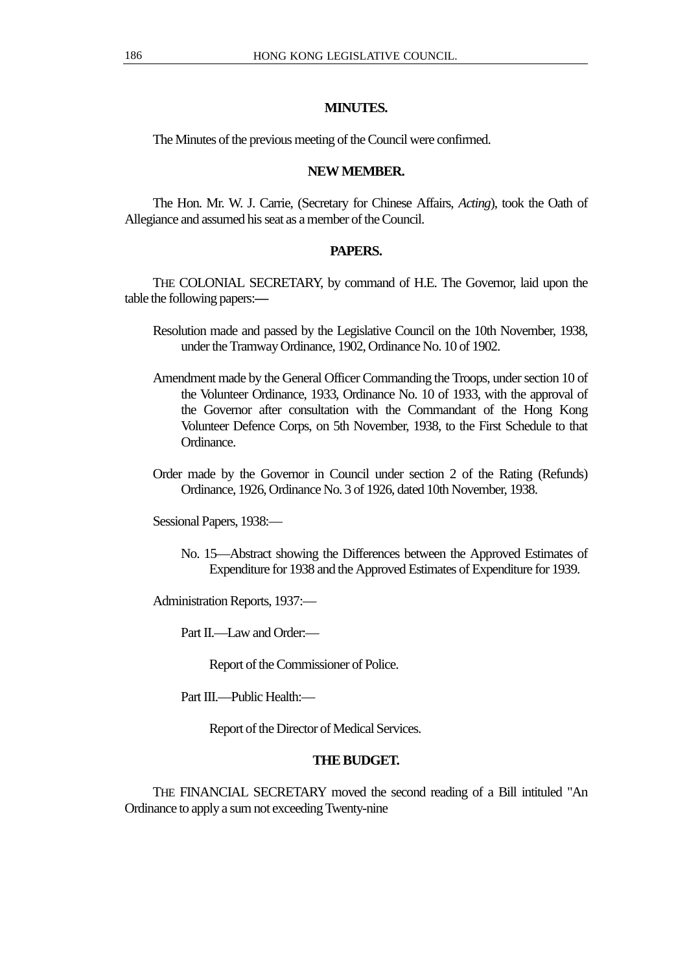# **MINUTES.**

The Minutes of the previous meeting of the Council were confirmed.

# **NEW MEMBER.**

The Hon. Mr. W. J. Carrie, (Secretary for Chinese Affairs, *Acting*), took the Oath of Allegiance and assumed his seat as a member of the Council.

# **PAPERS.**

THE COLONIAL SECRETARY, by command of H.E. The Governor, laid upon the table the following papers:**—**

- Resolution made and passed by the Legislative Council on the 10th November, 1938, under the Tramway Ordinance, 1902, Ordinance No. 10 of 1902.
- Amendment made by the General Officer Commanding the Troops, under section 10 of the Volunteer Ordinance, 1933, Ordinance No. 10 of 1933, with the approval of the Governor after consultation with the Commandant of the Hong Kong Volunteer Defence Corps, on 5th November, 1938, to the First Schedule to that Ordinance.
- Order made by the Governor in Council under section 2 of the Rating (Refunds) Ordinance, 1926, Ordinance No. 3 of 1926, dated 10th November, 1938.

Sessional Papers, 1938:—

No. 15—Abstract showing the Differences between the Approved Estimates of Expenditure for 1938 and the Approved Estimates of Expenditure for 1939.

Administration Reports, 1937:—

Part II.—Law and Order:—

Report of the Commissioner of Police.

Part III.—Public Health:—

Report of the Director of Medical Services.

## **THE BUDGET.**

THE FINANCIAL SECRETARY moved the second reading of a Bill intituled "An Ordinance to apply a sum not exceeding Twenty-nine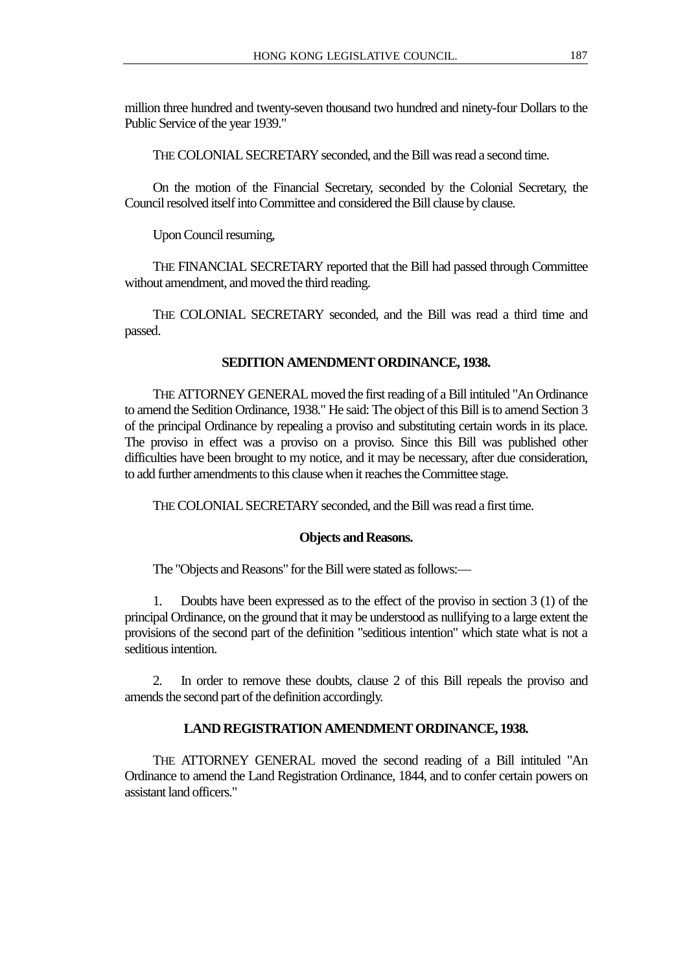million three hundred and twenty-seven thousand two hundred and ninety-four Dollars to the Public Service of the year 1939."

THE COLONIAL SECRETARY seconded, and the Bill was read a second time.

On the motion of the Financial Secretary, seconded by the Colonial Secretary, the Council resolved itself into Committee and considered the Bill clause by clause.

Upon Council resuming,

THE FINANCIAL SECRETARY reported that the Bill had passed through Committee without amendment, and moved the third reading.

THE COLONIAL SECRETARY seconded, and the Bill was read a third time and passed.

#### **SEDITION AMENDMENT ORDINANCE, 1938.**

THE ATTORNEY GENERAL moved the first reading of a Bill intituled "An Ordinance to amend the Sedition Ordinance, 1938." He said: The object of this Bill is to amend Section 3 of the principal Ordinance by repealing a proviso and substituting certain words in its place. The proviso in effect was a proviso on a proviso. Since this Bill was published other difficulties have been brought to my notice, and it may be necessary, after due consideration, to add further amendments to this clause when it reaches the Committee stage.

THE COLONIAL SECRETARY seconded, and the Bill was read a first time.

## **Objects and Reasons.**

The "Objects and Reasons" for the Bill were stated as follows:—

1. Doubts have been expressed as to the effect of the proviso in section 3 (1) of the principal Ordinance, on the ground that it may be understood as nullifying to a large extent the provisions of the second part of the definition "seditious intention" which state what is not a seditious intention.

2. In order to remove these doubts, clause 2 of this Bill repeals the proviso and amends the second part of the definition accordingly.

#### **LAND REGISTRATION AMENDMENT ORDINANCE, 1938.**

THE ATTORNEY GENERAL moved the second reading of a Bill intituled "An Ordinance to amend the Land Registration Ordinance, 1844, and to confer certain powers on assistant land officers."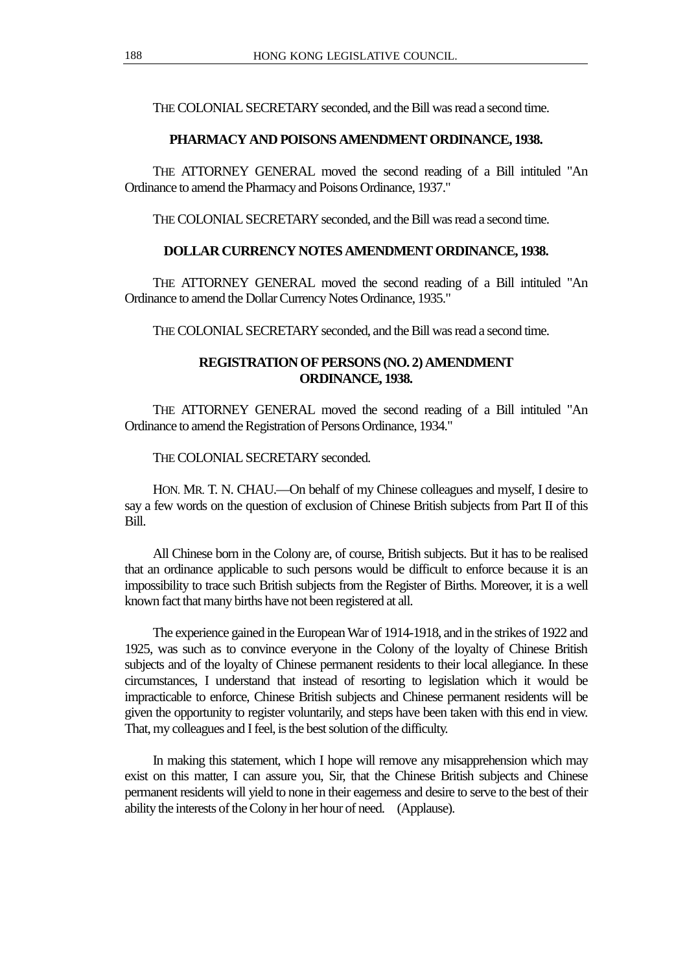THE COLONIAL SECRETARY seconded, and the Bill was read a second time.

#### **PHARMACY AND POISONS AMENDMENT ORDINANCE, 1938.**

THE ATTORNEY GENERAL moved the second reading of a Bill intituled "An Ordinance to amend the Pharmacy and Poisons Ordinance, 1937."

THE COLONIAL SECRETARY seconded, and the Bill was read a second time.

## **DOLLAR CURRENCY NOTES AMENDMENT ORDINANCE, 1938.**

THE ATTORNEY GENERAL moved the second reading of a Bill intituled "An Ordinance to amend the Dollar Currency Notes Ordinance, 1935."

THE COLONIAL SECRETARY seconded, and the Bill was read a second time.

## **REGISTRATION OF PERSONS (NO. 2) AMENDMENT ORDINANCE, 1938.**

THE ATTORNEY GENERAL moved the second reading of a Bill intituled "An Ordinance to amend the Registration of Persons Ordinance, 1934."

THE COLONIAL SECRETARY seconded.

HON. MR. T. N. CHAU.—On behalf of my Chinese colleagues and myself, I desire to say a few words on the question of exclusion of Chinese British subjects from Part II of this Bill.

All Chinese born in the Colony are, of course, British subjects. But it has to be realised that an ordinance applicable to such persons would be difficult to enforce because it is an impossibility to trace such British subjects from the Register of Births. Moreover, it is a well known fact that many births have not been registered at all.

The experience gained in the European War of 1914-1918, and in the strikes of 1922 and 1925, was such as to convince everyone in the Colony of the loyalty of Chinese British subjects and of the loyalty of Chinese permanent residents to their local allegiance. In these circumstances, I understand that instead of resorting to legislation which it would be impracticable to enforce, Chinese British subjects and Chinese permanent residents will be given the opportunity to register voluntarily, and steps have been taken with this end in view. That, my colleagues and I feel, is the best solution of the difficulty.

In making this statement, which I hope will remove any misapprehension which may exist on this matter, I can assure you, Sir, that the Chinese British subjects and Chinese permanent residents will yield to none in their eagerness and desire to serve to the best of their ability the interests of the Colony in her hour of need. (Applause).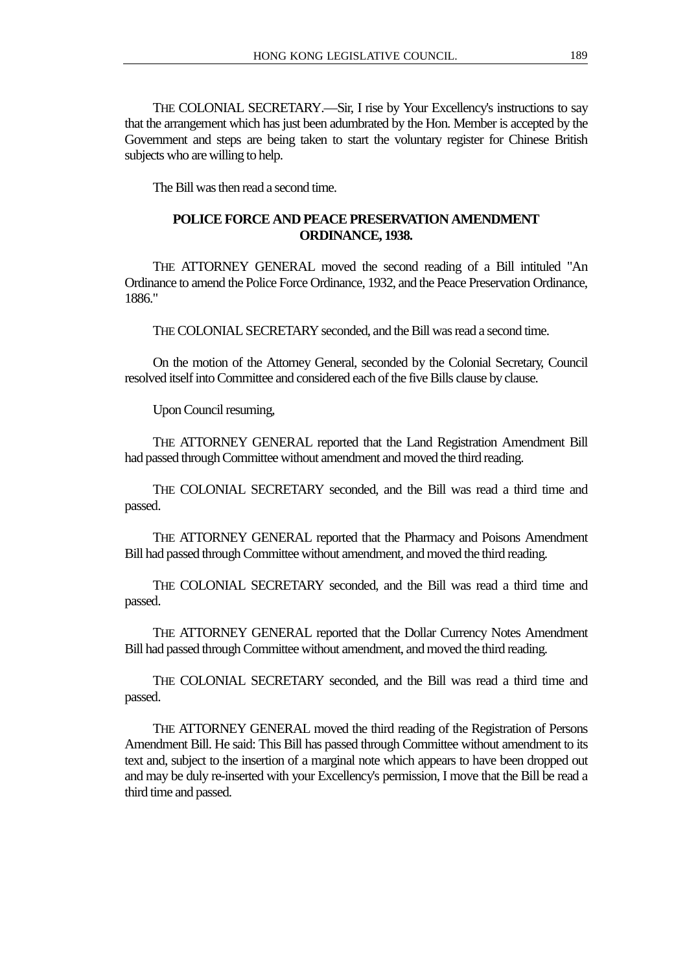THE COLONIAL SECRETARY.—Sir, I rise by Your Excellency's instructions to say that the arrangement which has just been adumbrated by the Hon. Member is accepted by the Government and steps are being taken to start the voluntary register for Chinese British subjects who are willing to help.

The Bill was then read a second time.

# **POLICE FORCE AND PEACE PRESERVATION AMENDMENT ORDINANCE, 1938.**

THE ATTORNEY GENERAL moved the second reading of a Bill intituled "An Ordinance to amend the Police Force Ordinance, 1932, and the Peace Preservation Ordinance, 1886."

THE COLONIAL SECRETARY seconded, and the Bill was read a second time.

On the motion of the Attorney General, seconded by the Colonial Secretary, Council resolved itself into Committee and considered each of the five Bills clause by clause.

Upon Council resuming,

THE ATTORNEY GENERAL reported that the Land Registration Amendment Bill had passed through Committee without amendment and moved the third reading.

THE COLONIAL SECRETARY seconded, and the Bill was read a third time and passed.

THE ATTORNEY GENERAL reported that the Pharmacy and Poisons Amendment Bill had passed through Committee without amendment, and moved the third reading.

THE COLONIAL SECRETARY seconded, and the Bill was read a third time and passed.

THE ATTORNEY GENERAL reported that the Dollar Currency Notes Amendment Bill had passed through Committee without amendment, and moved the third reading.

THE COLONIAL SECRETARY seconded, and the Bill was read a third time and passed.

THE ATTORNEY GENERAL moved the third reading of the Registration of Persons Amendment Bill. He said: This Bill has passed through Committee without amendment to its text and, subject to the insertion of a marginal note which appears to have been dropped out and may be duly re-inserted with your Excellency's permission, I move that the Bill be read a third time and passed.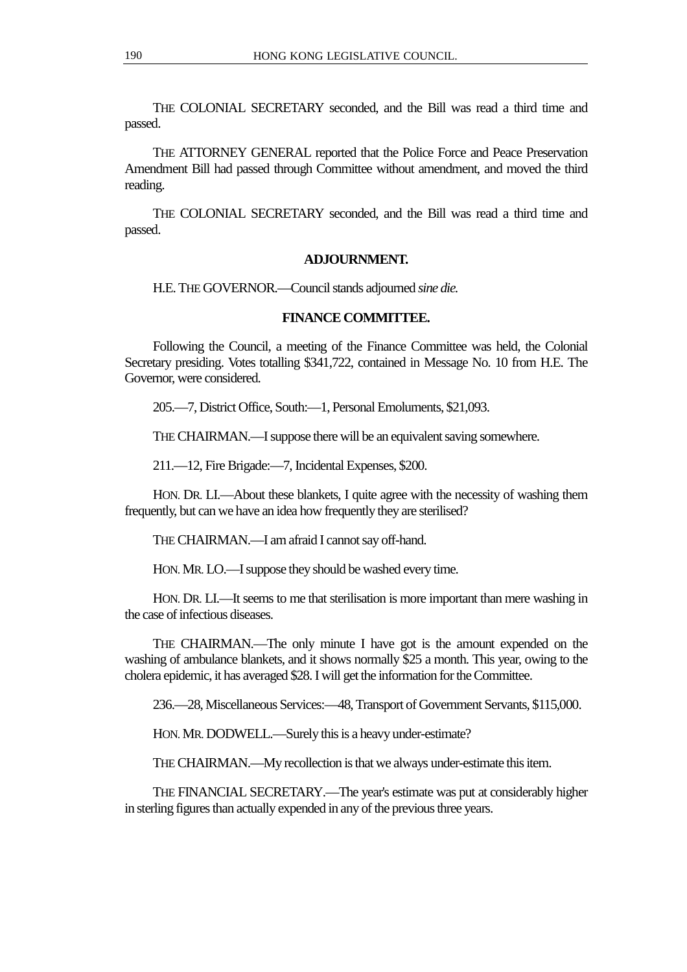THE COLONIAL SECRETARY seconded, and the Bill was read a third time and passed.

THE ATTORNEY GENERAL reported that the Police Force and Peace Preservation Amendment Bill had passed through Committee without amendment, and moved the third reading.

THE COLONIAL SECRETARY seconded, and the Bill was read a third time and passed.

#### **ADJOURNMENT.**

H.E. THE GOVERNOR.—Council stands adjourned *sine die.*

#### **FINANCE COMMITTEE.**

Following the Council, a meeting of the Finance Committee was held, the Colonial Secretary presiding. Votes totalling \$341,722, contained in Message No. 10 from H.E. The Governor, were considered.

205.—7, District Office, South:—1, Personal Emoluments, \$21,093.

THE CHAIRMAN.—I suppose there will be an equivalent saving somewhere.

211.—12, Fire Brigade:—7, Incidental Expenses, \$200.

HON. DR. LI.—About these blankets, I quite agree with the necessity of washing them frequently, but can we have an idea how frequently they are sterilised?

THE CHAIRMAN.—I am afraid I cannot say off-hand.

HON. MR. LO.—I suppose they should be washed every time.

HON. DR. LI.—It seems to me that sterilisation is more important than mere washing in the case of infectious diseases.

THE CHAIRMAN.—The only minute I have got is the amount expended on the washing of ambulance blankets, and it shows normally \$25 a month. This year, owing to the cholera epidemic, it has averaged \$28. I will get the information for the Committee.

236.—28, Miscellaneous Services:—48, Transport of Government Servants, \$115,000.

HON. MR. DODWELL.—Surely this is a heavy under-estimate?

THE CHAIRMAN.—My recollection is that we always under-estimate this item.

THE FINANCIAL SECRETARY.—The year's estimate was put at considerably higher in sterling figures than actually expended in any of the previous three years.